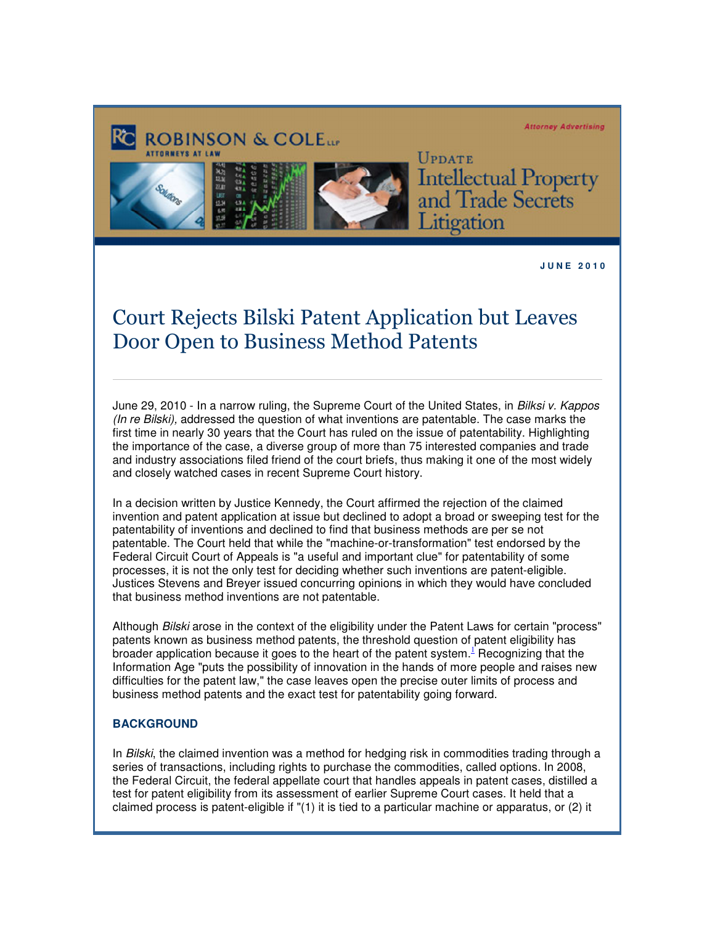#### **Attorney Advertising**



**UPDATE Intellectual Property** and Trade Secrets Litigation

**J U N E 2 0 1 0** 

# Court Rejects Bilski Patent Application but Leaves Door Open to Business Method Patents

June 29, 2010 - In a narrow ruling, the Supreme Court of the United States, in Bilksi v. Kappos (In re Bilski), addressed the question of what inventions are patentable. The case marks the first time in nearly 30 years that the Court has ruled on the issue of patentability. Highlighting the importance of the case, a diverse group of more than 75 interested companies and trade and industry associations filed friend of the court briefs, thus making it one of the most widely and closely watched cases in recent Supreme Court history.

In a decision written by Justice Kennedy, the Court affirmed the rejection of the claimed invention and patent application at issue but declined to adopt a broad or sweeping test for the patentability of inventions and declined to find that business methods are per se not patentable. The Court held that while the "machine-or-transformation" test endorsed by the Federal Circuit Court of Appeals is "a useful and important clue" for patentability of some processes, it is not the only test for deciding whether such inventions are patent-eligible. Justices Stevens and Breyer issued concurring opinions in which they would have concluded that business method inventions are not patentable.

Although Bilski arose in the context of the eligibility under the Patent Laws for certain "process" patents known as business method patents, the threshold question of patent eligibility has broader application because it goes to the heart of the patent system.<sup>L'</sup> Recognizing that the Information Age "puts the possibility of innovation in the hands of more people and raises new difficulties for the patent law," the case leaves open the precise outer limits of process and business method patents and the exact test for patentability going forward.

### **BACKGROUND**

In Bilski, the claimed invention was a method for hedging risk in commodities trading through a series of transactions, including rights to purchase the commodities, called options. In 2008, the Federal Circuit, the federal appellate court that handles appeals in patent cases, distilled a test for patent eligibility from its assessment of earlier Supreme Court cases. It held that a claimed process is patent-eligible if "(1) it is tied to a particular machine or apparatus, or (2) it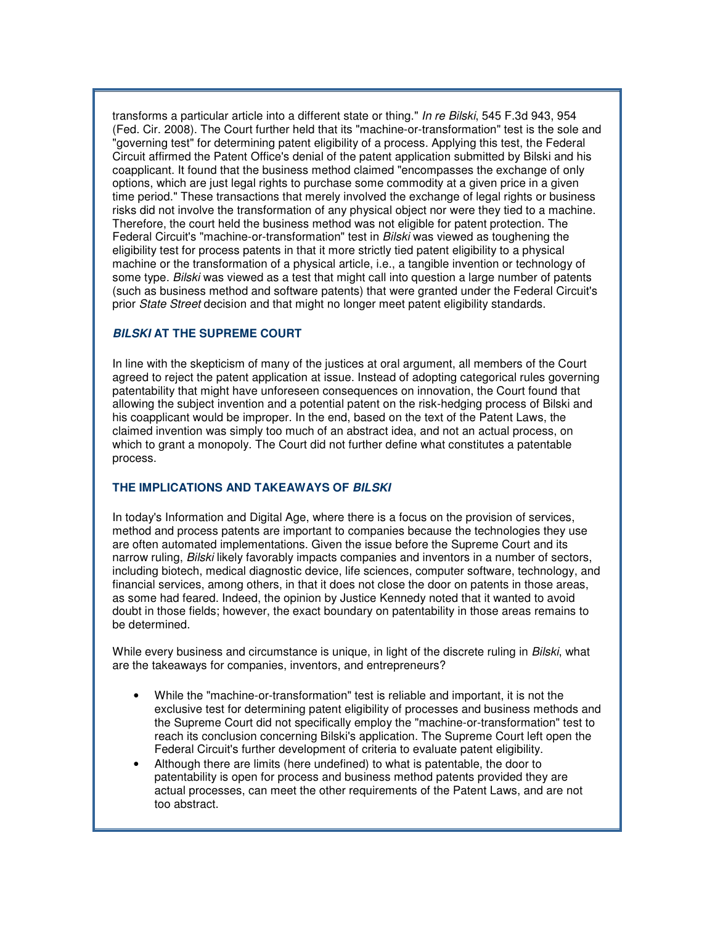transforms a particular article into a different state or thing." In re Bilski, 545 F.3d 943, 954 (Fed. Cir. 2008). The Court further held that its "machine-or-transformation" test is the sole and "governing test" for determining patent eligibility of a process. Applying this test, the Federal Circuit affirmed the Patent Office's denial of the patent application submitted by Bilski and his coapplicant. It found that the business method claimed "encompasses the exchange of only options, which are just legal rights to purchase some commodity at a given price in a given time period." These transactions that merely involved the exchange of legal rights or business risks did not involve the transformation of any physical object nor were they tied to a machine. Therefore, the court held the business method was not eligible for patent protection. The Federal Circuit's "machine-or-transformation" test in Bilski was viewed as toughening the eligibility test for process patents in that it more strictly tied patent eligibility to a physical machine or the transformation of a physical article, i.e., a tangible invention or technology of some type. Bilski was viewed as a test that might call into question a large number of patents (such as business method and software patents) that were granted under the Federal Circuit's prior State Street decision and that might no longer meet patent eligibility standards.

## **BILSKI AT THE SUPREME COURT**

In line with the skepticism of many of the justices at oral argument, all members of the Court agreed to reject the patent application at issue. Instead of adopting categorical rules governing patentability that might have unforeseen consequences on innovation, the Court found that allowing the subject invention and a potential patent on the risk-hedging process of Bilski and his coapplicant would be improper. In the end, based on the text of the Patent Laws, the claimed invention was simply too much of an abstract idea, and not an actual process, on which to grant a monopoly. The Court did not further define what constitutes a patentable process.

### **THE IMPLICATIONS AND TAKEAWAYS OF BILSKI**

In today's Information and Digital Age, where there is a focus on the provision of services, method and process patents are important to companies because the technologies they use are often automated implementations. Given the issue before the Supreme Court and its narrow ruling, Bilski likely favorably impacts companies and inventors in a number of sectors, including biotech, medical diagnostic device, life sciences, computer software, technology, and financial services, among others, in that it does not close the door on patents in those areas, as some had feared. Indeed, the opinion by Justice Kennedy noted that it wanted to avoid doubt in those fields; however, the exact boundary on patentability in those areas remains to be determined.

While every business and circumstance is unique, in light of the discrete ruling in Bilski, what are the takeaways for companies, inventors, and entrepreneurs?

- While the "machine-or-transformation" test is reliable and important, it is not the exclusive test for determining patent eligibility of processes and business methods and the Supreme Court did not specifically employ the "machine-or-transformation" test to reach its conclusion concerning Bilski's application. The Supreme Court left open the Federal Circuit's further development of criteria to evaluate patent eligibility.
- Although there are limits (here undefined) to what is patentable, the door to patentability is open for process and business method patents provided they are actual processes, can meet the other requirements of the Patent Laws, and are not too abstract.